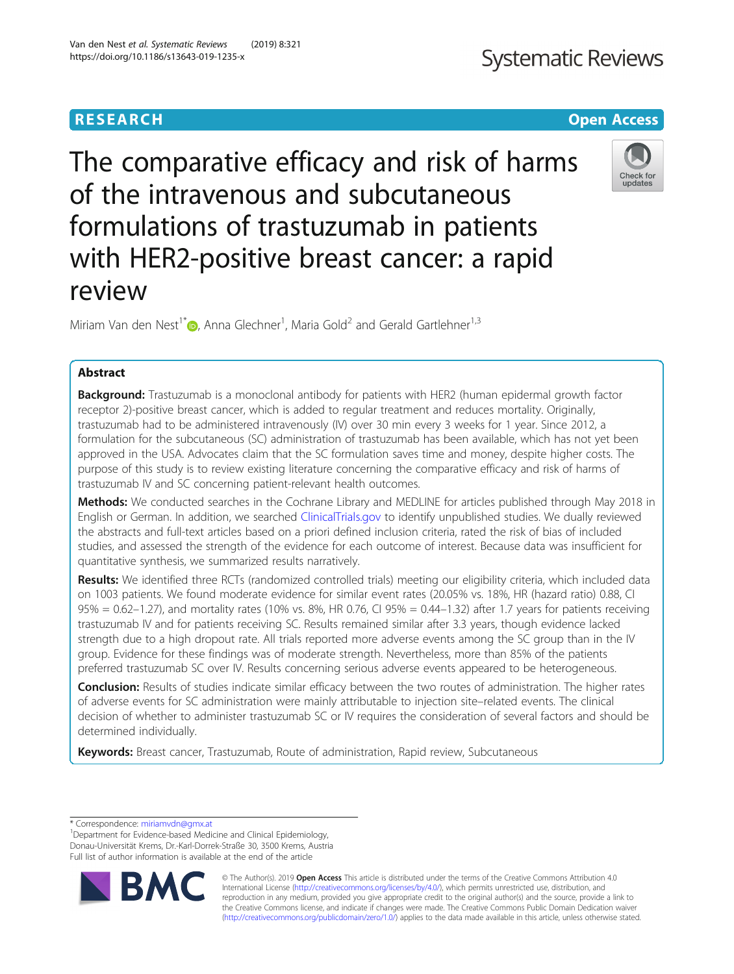# **RESEARCH CHEAR CHEAR CHEAR CHEAR CHEAR CHEAR CHEAR CHEAR CHEAR CHEAR CHEAR CHEAR CHEAR CHEAR CHEAR CHEAR CHEAR**

The comparative efficacy and risk of harms of the intravenous and subcutaneous formulations of trastuzumab in patients with HER2-positive breast cancer: a rapid review

Miriam Van den Nest<sup>1\*</sup> (**b**[,](http://orcid.org/0000-0003-2653-3473) Anna Glechner<sup>1</sup>, Maria Gold<sup>2</sup> and Gerald Gartlehner<sup>1,3</sup>

# Abstract

**Background:** Trastuzumab is a monoclonal antibody for patients with HER2 (human epidermal growth factor receptor 2)-positive breast cancer, which is added to regular treatment and reduces mortality. Originally, trastuzumab had to be administered intravenously (IV) over 30 min every 3 weeks for 1 year. Since 2012, a formulation for the subcutaneous (SC) administration of trastuzumab has been available, which has not yet been approved in the USA. Advocates claim that the SC formulation saves time and money, despite higher costs. The purpose of this study is to review existing literature concerning the comparative efficacy and risk of harms of trastuzumab IV and SC concerning patient-relevant health outcomes.

Methods: We conducted searches in the Cochrane Library and MEDLINE for articles published through May 2018 in English or German. In addition, we searched [ClinicalTrials.gov](http://clinicaltrials.gov) to identify unpublished studies. We dually reviewed the abstracts and full-text articles based on a priori defined inclusion criteria, rated the risk of bias of included studies, and assessed the strength of the evidence for each outcome of interest. Because data was insufficient for quantitative synthesis, we summarized results narratively.

Results: We identified three RCTs (randomized controlled trials) meeting our eligibility criteria, which included data on 1003 patients. We found moderate evidence for similar event rates (20.05% vs. 18%, HR (hazard ratio) 0.88, CI  $95% = 0.62 - 1.27$ ), and mortality rates (10% vs. 8%, HR 0.76, CI 95% = 0.44-1.32) after 1.7 years for patients receiving trastuzumab IV and for patients receiving SC. Results remained similar after 3.3 years, though evidence lacked strength due to a high dropout rate. All trials reported more adverse events among the SC group than in the IV group. Evidence for these findings was of moderate strength. Nevertheless, more than 85% of the patients preferred trastuzumab SC over IV. Results concerning serious adverse events appeared to be heterogeneous.

Conclusion: Results of studies indicate similar efficacy between the two routes of administration. The higher rates of adverse events for SC administration were mainly attributable to injection site–related events. The clinical decision of whether to administer trastuzumab SC or IV requires the consideration of several factors and should be determined individually.

Keywords: Breast cancer, Trastuzumab, Route of administration, Rapid review, Subcutaneous

**BM** 

© The Author(s). 2019 **Open Access** This article is distributed under the terms of the Creative Commons Attribution 4.0 International License [\(http://creativecommons.org/licenses/by/4.0/](http://creativecommons.org/licenses/by/4.0/)), which permits unrestricted use, distribution, and reproduction in any medium, provided you give appropriate credit to the original author(s) and the source, provide a link to the Creative Commons license, and indicate if changes were made. The Creative Commons Public Domain Dedication waiver [\(http://creativecommons.org/publicdomain/zero/1.0/](http://creativecommons.org/publicdomain/zero/1.0/)) applies to the data made available in this article, unless otherwise stated.





<sup>\*</sup> Correspondence: [miriamvdn@gmx.at](mailto:miriamvdn@gmx.at) <sup>1</sup>

<sup>&</sup>lt;sup>1</sup>Department for Evidence-based Medicine and Clinical Epidemiology, Donau-Universität Krems, Dr.-Karl-Dorrek-Straße 30, 3500 Krems, Austria Full list of author information is available at the end of the article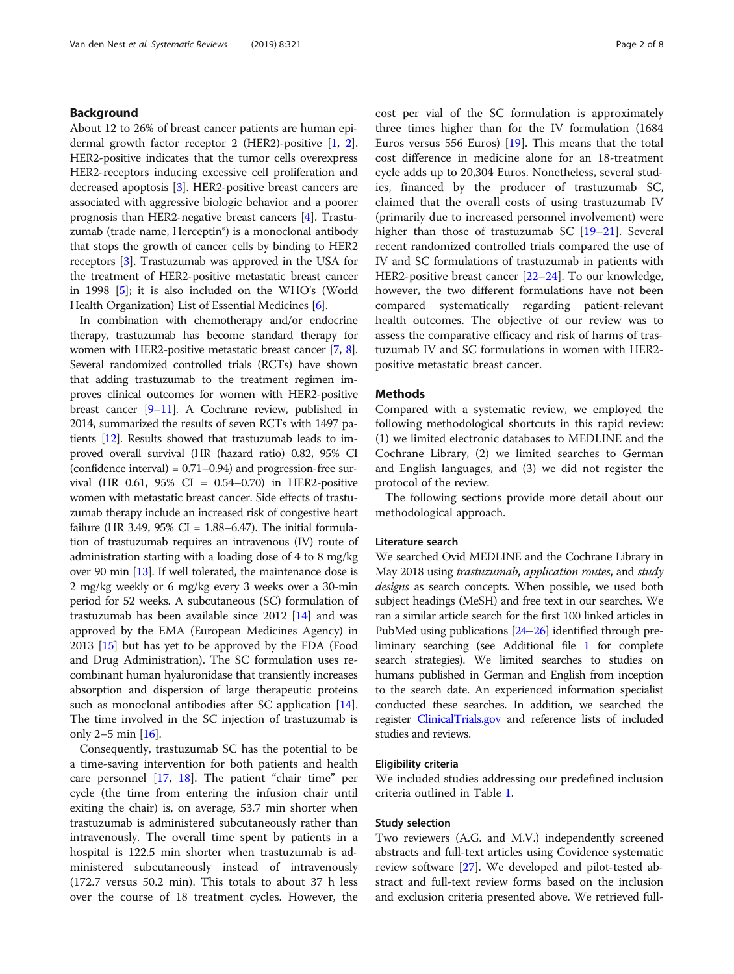## Background

About 12 to 26% of breast cancer patients are human epidermal growth factor receptor 2 (HER2)-positive [\[1,](#page-6-0) [2](#page-6-0)]. HER2-positive indicates that the tumor cells overexpress HER2-receptors inducing excessive cell proliferation and decreased apoptosis [\[3\]](#page-6-0). HER2-positive breast cancers are associated with aggressive biologic behavior and a poorer prognosis than HER2-negative breast cancers [\[4](#page-6-0)]. Trastuzumab (trade name, Herceptin®) is a monoclonal antibody that stops the growth of cancer cells by binding to HER2 receptors [\[3](#page-6-0)]. Trastuzumab was approved in the USA for the treatment of HER2-positive metastatic breast cancer in 1998 [[5\]](#page-6-0); it is also included on the WHO's (World Health Organization) List of Essential Medicines [\[6\]](#page-6-0).

In combination with chemotherapy and/or endocrine therapy, trastuzumab has become standard therapy for women with HER2-positive metastatic breast cancer [[7](#page-6-0), [8](#page-6-0)]. Several randomized controlled trials (RCTs) have shown that adding trastuzumab to the treatment regimen improves clinical outcomes for women with HER2-positive breast cancer [\[9](#page-6-0)–[11\]](#page-7-0). A Cochrane review, published in 2014, summarized the results of seven RCTs with 1497 patients [\[12\]](#page-7-0). Results showed that trastuzumab leads to improved overall survival (HR (hazard ratio) 0.82, 95% CI (confidence interval) = 0.71–0.94) and progression-free survival (HR 0.61, 95% CI = 0.54–0.70) in HER2-positive women with metastatic breast cancer. Side effects of trastuzumab therapy include an increased risk of congestive heart failure (HR 3.49, 95% CI =  $1.88-6.47$ ). The initial formulation of trastuzumab requires an intravenous (IV) route of administration starting with a loading dose of 4 to 8 mg/kg over 90 min [[13](#page-7-0)]. If well tolerated, the maintenance dose is 2 mg/kg weekly or 6 mg/kg every 3 weeks over a 30-min period for 52 weeks. A subcutaneous (SC) formulation of trastuzumab has been available since 2012 [\[14\]](#page-7-0) and was approved by the EMA (European Medicines Agency) in 2013 [[15](#page-7-0)] but has yet to be approved by the FDA (Food and Drug Administration). The SC formulation uses recombinant human hyaluronidase that transiently increases absorption and dispersion of large therapeutic proteins such as monoclonal antibodies after SC application [[14](#page-7-0)]. The time involved in the SC injection of trastuzumab is only 2–5 min  $[16]$ .

Consequently, trastuzumab SC has the potential to be a time-saving intervention for both patients and health care personnel [[17](#page-7-0), [18\]](#page-7-0). The patient "chair time" per cycle (the time from entering the infusion chair until exiting the chair) is, on average, 53.7 min shorter when trastuzumab is administered subcutaneously rather than intravenously. The overall time spent by patients in a hospital is 122.5 min shorter when trastuzumab is administered subcutaneously instead of intravenously (172.7 versus 50.2 min). This totals to about 37 h less over the course of 18 treatment cycles. However, the cost per vial of the SC formulation is approximately three times higher than for the IV formulation (1684 Euros versus 556 Euros)  $[19]$ . This means that the total cost difference in medicine alone for an 18-treatment cycle adds up to 20,304 Euros. Nonetheless, several studies, financed by the producer of trastuzumab SC, claimed that the overall costs of using trastuzumab IV (primarily due to increased personnel involvement) were higher than those of trastuzumab SC [[19](#page-7-0)–[21](#page-7-0)]. Several recent randomized controlled trials compared the use of IV and SC formulations of trastuzumab in patients with HER2-positive breast cancer [\[22](#page-7-0)–[24\]](#page-7-0). To our knowledge, however, the two different formulations have not been compared systematically regarding patient-relevant health outcomes. The objective of our review was to assess the comparative efficacy and risk of harms of trastuzumab IV and SC formulations in women with HER2 positive metastatic breast cancer.

#### Methods

Compared with a systematic review, we employed the following methodological shortcuts in this rapid review: (1) we limited electronic databases to MEDLINE and the Cochrane Library, (2) we limited searches to German and English languages, and (3) we did not register the protocol of the review.

The following sections provide more detail about our methodological approach.

#### Literature search

We searched Ovid MEDLINE and the Cochrane Library in May 2018 using trastuzumab, application routes, and study designs as search concepts. When possible, we used both subject headings (MeSH) and free text in our searches. We ran a similar article search for the first 100 linked articles in PubMed using publications [\[24](#page-7-0)–[26\]](#page-7-0) identified through preliminary searching (see Additional file [1](#page-6-0) for complete search strategies). We limited searches to studies on humans published in German and English from inception to the search date. An experienced information specialist conducted these searches. In addition, we searched the register [ClinicalTrials.gov](http://clinicaltrials.gov) and reference lists of included studies and reviews.

#### Eligibility criteria

We included studies addressing our predefined inclusion criteria outlined in Table [1.](#page-2-0)

#### Study selection

Two reviewers (A.G. and M.V.) independently screened abstracts and full-text articles using Covidence systematic review software [[27](#page-7-0)]. We developed and pilot-tested abstract and full-text review forms based on the inclusion and exclusion criteria presented above. We retrieved full-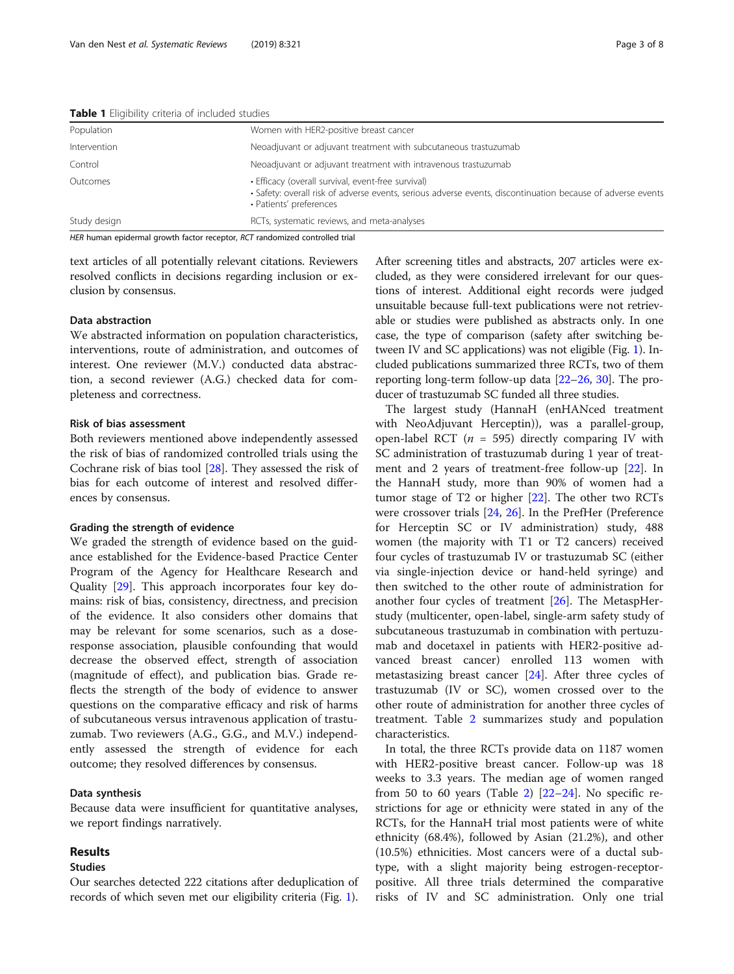| <b>I was a</b> changionity chiteria or micrococo <i>otachico</i> |                                                                                                                                                                                              |  |  |  |
|------------------------------------------------------------------|----------------------------------------------------------------------------------------------------------------------------------------------------------------------------------------------|--|--|--|
| Women with HER2-positive breast cancer<br>Population             |                                                                                                                                                                                              |  |  |  |
| Intervention                                                     | Neoadjuvant or adjuvant treatment with subcutaneous trastuzumab                                                                                                                              |  |  |  |
| Control                                                          | Neoadjuvant or adjuvant treatment with intravenous trastuzumab                                                                                                                               |  |  |  |
| Outcomes                                                         | • Efficacy (overall survival, event-free survival)<br>• Safety: overall risk of adverse events, serious adverse events, discontinuation because of adverse events<br>• Patients' preferences |  |  |  |
| Study design                                                     | RCTs, systematic reviews, and meta-analyses                                                                                                                                                  |  |  |  |

<span id="page-2-0"></span>Table 1 Fligibility criteria of included studies

HER human epidermal growth factor receptor, RCT randomized controlled trial

text articles of all potentially relevant citations. Reviewers resolved conflicts in decisions regarding inclusion or exclusion by consensus.

#### Data abstraction

We abstracted information on population characteristics, interventions, route of administration, and outcomes of interest. One reviewer (M.V.) conducted data abstraction, a second reviewer (A.G.) checked data for completeness and correctness.

## Risk of bias assessment

Both reviewers mentioned above independently assessed the risk of bias of randomized controlled trials using the Cochrane risk of bias tool [[28](#page-7-0)]. They assessed the risk of bias for each outcome of interest and resolved differences by consensus.

#### Grading the strength of evidence

We graded the strength of evidence based on the guidance established for the Evidence-based Practice Center Program of the Agency for Healthcare Research and Quality [[29\]](#page-7-0). This approach incorporates four key domains: risk of bias, consistency, directness, and precision of the evidence. It also considers other domains that may be relevant for some scenarios, such as a doseresponse association, plausible confounding that would decrease the observed effect, strength of association (magnitude of effect), and publication bias. Grade reflects the strength of the body of evidence to answer questions on the comparative efficacy and risk of harms of subcutaneous versus intravenous application of trastuzumab. Two reviewers (A.G., G.G., and M.V.) independently assessed the strength of evidence for each outcome; they resolved differences by consensus.

### Data synthesis

Because data were insufficient for quantitative analyses, we report findings narratively.

## Results

## Studies

Our searches detected 222 citations after deduplication of records of which seven met our eligibility criteria (Fig. [1](#page-3-0)). After screening titles and abstracts, 207 articles were excluded, as they were considered irrelevant for our questions of interest. Additional eight records were judged unsuitable because full-text publications were not retrievable or studies were published as abstracts only. In one case, the type of comparison (safety after switching between IV and SC applications) was not eligible (Fig. [1\)](#page-3-0). Included publications summarized three RCTs, two of them reporting long-term follow-up data [\[22](#page-7-0)–[26](#page-7-0), [30\]](#page-7-0). The producer of trastuzumab SC funded all three studies.

The largest study (HannaH (enHANced treatment with NeoAdjuvant Herceptin)), was a parallel-group, open-label RCT ( $n = 595$ ) directly comparing IV with SC administration of trastuzumab during 1 year of treatment and 2 years of treatment-free follow-up [[22\]](#page-7-0). In the HannaH study, more than 90% of women had a tumor stage of T2 or higher [[22](#page-7-0)]. The other two RCTs were crossover trials [\[24](#page-7-0), [26](#page-7-0)]. In the PrefHer (Preference for Herceptin SC or IV administration) study, 488 women (the majority with T1 or T2 cancers) received four cycles of trastuzumab IV or trastuzumab SC (either via single-injection device or hand-held syringe) and then switched to the other route of administration for another four cycles of treatment [\[26](#page-7-0)]. The MetaspHerstudy (multicenter, open-label, single-arm safety study of subcutaneous trastuzumab in combination with pertuzumab and docetaxel in patients with HER2-positive advanced breast cancer) enrolled 113 women with metastasizing breast cancer [\[24\]](#page-7-0). After three cycles of trastuzumab (IV or SC), women crossed over to the other route of administration for another three cycles of treatment. Table [2](#page-4-0) summarizes study and population characteristics.

In total, the three RCTs provide data on 1187 women with HER2-positive breast cancer. Follow-up was 18 weeks to 3.3 years. The median age of women ranged from 50 to 60 years (Table [2\)](#page-4-0)  $[22-24]$  $[22-24]$  $[22-24]$  $[22-24]$ . No specific restrictions for age or ethnicity were stated in any of the RCTs, for the HannaH trial most patients were of white ethnicity (68.4%), followed by Asian (21.2%), and other (10.5%) ethnicities. Most cancers were of a ductal subtype, with a slight majority being estrogen-receptorpositive. All three trials determined the comparative risks of IV and SC administration. Only one trial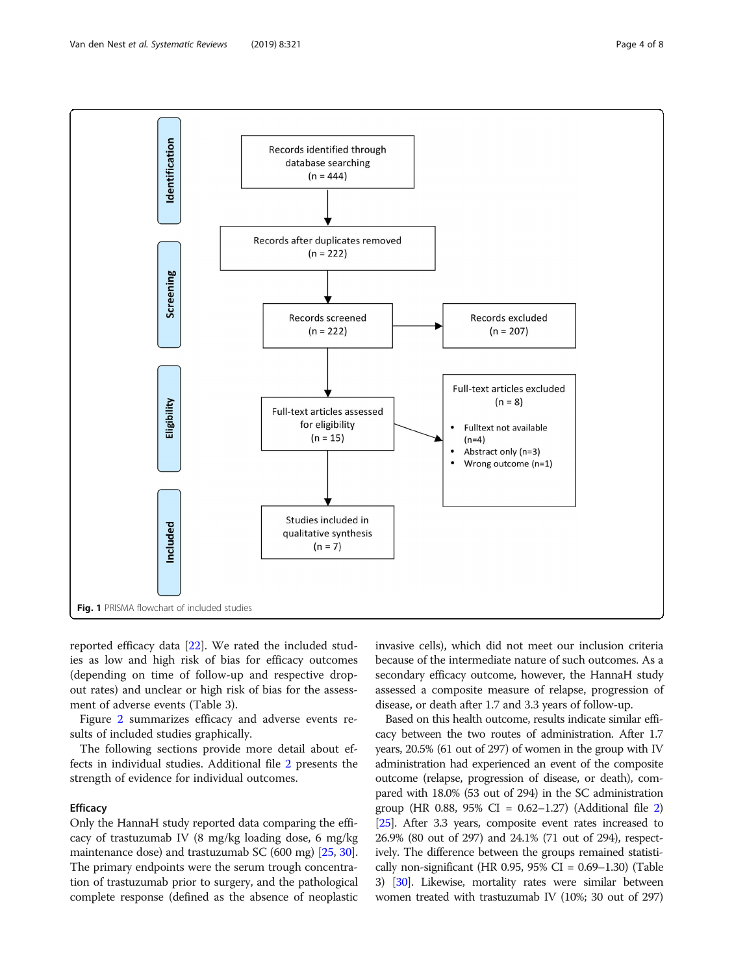<span id="page-3-0"></span>

reported efficacy data [\[22\]](#page-7-0). We rated the included studies as low and high risk of bias for efficacy outcomes (depending on time of follow-up and respective dropout rates) and unclear or high risk of bias for the assessment of adverse events (Table 3).

Figure [2](#page-5-0) summarizes efficacy and adverse events results of included studies graphically.

The following sections provide more detail about effects in individual studies. Additional file [2](#page-6-0) presents the strength of evidence for individual outcomes.

### **Efficacy**

Only the HannaH study reported data comparing the efficacy of trastuzumab IV (8 mg/kg loading dose, 6 mg/kg maintenance dose) and trastuzumab SC (600 mg) [\[25,](#page-7-0) [30](#page-7-0)]. The primary endpoints were the serum trough concentration of trastuzumab prior to surgery, and the pathological complete response (defined as the absence of neoplastic

invasive cells), which did not meet our inclusion criteria because of the intermediate nature of such outcomes. As a secondary efficacy outcome, however, the HannaH study assessed a composite measure of relapse, progression of disease, or death after 1.7 and 3.3 years of follow-up.

Based on this health outcome, results indicate similar efficacy between the two routes of administration. After 1.7 years, 20.5% (61 out of 297) of women in the group with IV administration had experienced an event of the composite outcome (relapse, progression of disease, or death), compared with 18.0% (53 out of 294) in the SC administration group (HR 0.88, 95% CI =  $0.62-1.27$  $0.62-1.27$  $0.62-1.27$ ) (Additional file 2) [[25](#page-7-0)]. After 3.3 years, composite event rates increased to 26.9% (80 out of 297) and 24.1% (71 out of 294), respectively. The difference between the groups remained statistically non-significant (HR 0.95, 95% CI =  $0.69-1.30$ ) (Table 3) [\[30\]](#page-7-0). Likewise, mortality rates were similar between women treated with trastuzumab IV (10%; 30 out of 297)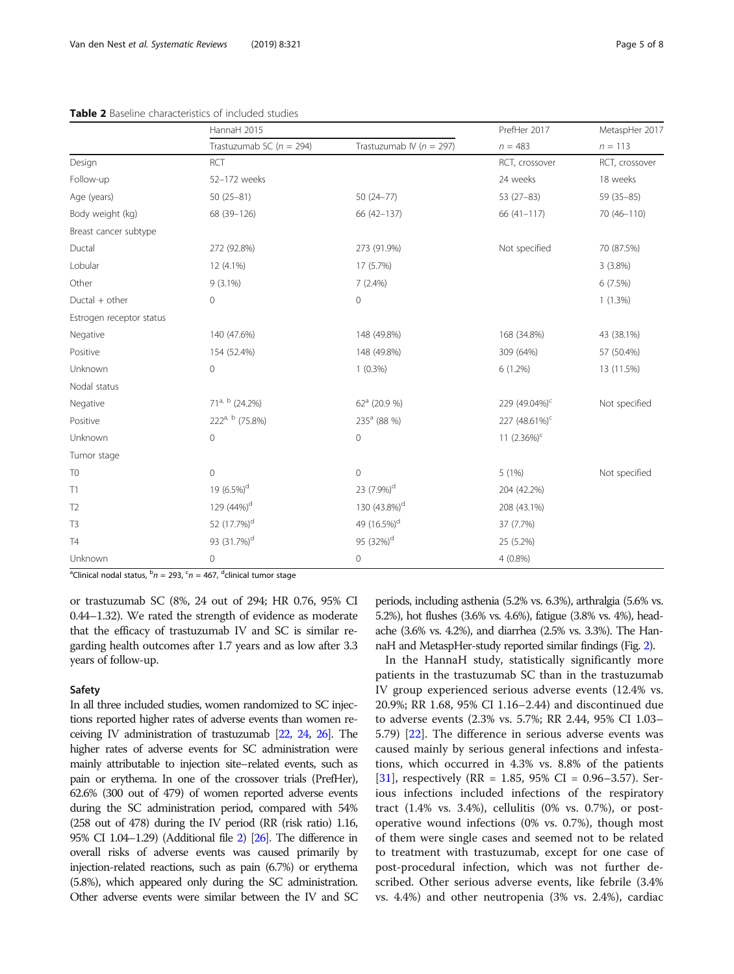<span id="page-4-0"></span>

| <b>Table 2</b> Baseline characteristics of included studies |                              |                              |                           |                |  |  |
|-------------------------------------------------------------|------------------------------|------------------------------|---------------------------|----------------|--|--|
|                                                             | HannaH 2015                  |                              | PrefHer 2017              | MetaspHer 2017 |  |  |
|                                                             | Trastuzumab SC ( $n = 294$ ) | Trastuzumab IV ( $n = 297$ ) | $n = 483$                 | $n = 113$      |  |  |
| Design                                                      | <b>RCT</b>                   |                              | RCT, crossover            | RCT, crossover |  |  |
| Follow-up                                                   | 52-172 weeks                 |                              | 24 weeks                  | 18 weeks       |  |  |
| Age (years)                                                 | $50(25-81)$                  | $50(24 - 77)$                | $53(27-83)$               | 59 (35-85)     |  |  |
| Body weight (kg)                                            | 68 (39-126)                  | 66 (42-137)                  | 66 (41-117)               | 70 (46-110)    |  |  |
| Breast cancer subtype                                       |                              |                              |                           |                |  |  |
| Ductal                                                      | 272 (92.8%)                  | 273 (91.9%)                  | Not specified             | 70 (87.5%)     |  |  |
| Lobular                                                     | 12 (4.1%)                    | 17 (5.7%)                    |                           | $3(3.8\%)$     |  |  |
| Other                                                       | $9(3.1\%)$                   | $7(2.4\%)$                   |                           | 6(7.5%)        |  |  |
| $Ductal + other$                                            | $\mathbf{0}$                 | 0                            |                           | $1(1.3\%)$     |  |  |
| Estrogen receptor status                                    |                              |                              |                           |                |  |  |
| Negative                                                    | 140 (47.6%)                  | 148 (49.8%)                  | 168 (34.8%)               | 43 (38.1%)     |  |  |
| Positive                                                    | 154 (52.4%)                  | 148 (49.8%)                  | 309 (64%)                 | 57 (50.4%)     |  |  |
| Unknown                                                     | $\mathbf 0$                  | $1(0.3\%)$                   | 6(1.2%)                   | 13 (11.5%)     |  |  |
| Nodal status                                                |                              |                              |                           |                |  |  |
| Negative                                                    | 71 <sup>a, b</sup> (24.2%)   | $62^a$ (20.9 %)              | 229 (49.04%) <sup>c</sup> | Not specified  |  |  |
| Positive                                                    | $222^{a, b}$ (75.8%)         | 235 <sup>a</sup> (88 %)      | 227 (48.61%) <sup>c</sup> |                |  |  |
| Unknown                                                     | 0                            | 0                            | 11 $(2.36\%)^c$           |                |  |  |
| Tumor stage                                                 |                              |                              |                           |                |  |  |
| T <sub>0</sub>                                              | 0                            | 0                            | 5 (1%)                    | Not specified  |  |  |
| T1                                                          | 19 $(6.5\%)^d$               | 23 (7.9%) <sup>d</sup>       | 204 (42.2%)               |                |  |  |
| T <sub>2</sub>                                              | 129 (44%) <sup>d</sup>       | 130 (43.8%) <sup>d</sup>     | 208 (43.1%)               |                |  |  |

Table 2 Baseline characteristics of included studies

<sup>a</sup>Clinical nodal status, <sup>b</sup> $n = 293$ , <sup>c</sup> $n = 467$ , <sup>d</sup>clinical tumor stage

or trastuzumab SC (8%, 24 out of 294; HR 0.76, 95% CI 0.44–1.32). We rated the strength of evidence as moderate that the efficacy of trastuzumab IV and SC is similar regarding health outcomes after 1.7 years and as low after 3.3 years of follow-up.

T3 52 (17.7%)<sup>d</sup> 49 (16.5%)<sup>d</sup> 37 (7.7%) T4 93  $(31.7\%)^d$  95  $(32\%)^d$  25  $(5.2\%)^d$  25  $(5.2\%)$ Unknown 0 0 4 (0.8%)

#### Safety

In all three included studies, women randomized to SC injections reported higher rates of adverse events than women receiving IV administration of trastuzumab [\[22](#page-7-0), [24,](#page-7-0) [26\]](#page-7-0). The higher rates of adverse events for SC administration were mainly attributable to injection site–related events, such as pain or erythema. In one of the crossover trials (PrefHer), 62.6% (300 out of 479) of women reported adverse events during the SC administration period, compared with 54% (258 out of 478) during the IV period (RR (risk ratio) 1.16, 95% CI 1.04–1.29) (Additional file [2](#page-6-0)) [\[26](#page-7-0)]. The difference in overall risks of adverse events was caused primarily by injection-related reactions, such as pain (6.7%) or erythema (5.8%), which appeared only during the SC administration. Other adverse events were similar between the IV and SC

periods, including asthenia (5.2% vs. 6.3%), arthralgia (5.6% vs. 5.2%), hot flushes (3.6% vs. 4.6%), fatigue (3.8% vs. 4%), headache (3.6% vs. 4.2%), and diarrhea (2.5% vs. 3.3%). The HannaH and MetaspHer-study reported similar findings (Fig. [2](#page-5-0)).

In the HannaH study, statistically significantly more patients in the trastuzumab SC than in the trastuzumab IV group experienced serious adverse events (12.4% vs. 20.9%; RR 1.68, 95% CI 1.16–2.44) and discontinued due to adverse events (2.3% vs. 5.7%; RR 2.44, 95% CI 1.03– 5.79) [[22\]](#page-7-0). The difference in serious adverse events was caused mainly by serious general infections and infestations, which occurred in 4.3% vs. 8.8% of the patients [[31\]](#page-7-0), respectively (RR = 1.85, 95% CI = 0.96–3.57). Serious infections included infections of the respiratory tract (1.4% vs. 3.4%), cellulitis (0% vs. 0.7%), or postoperative wound infections (0% vs. 0.7%), though most of them were single cases and seemed not to be related to treatment with trastuzumab, except for one case of post-procedural infection, which was not further described. Other serious adverse events, like febrile (3.4% vs. 4.4%) and other neutropenia (3% vs. 2.4%), cardiac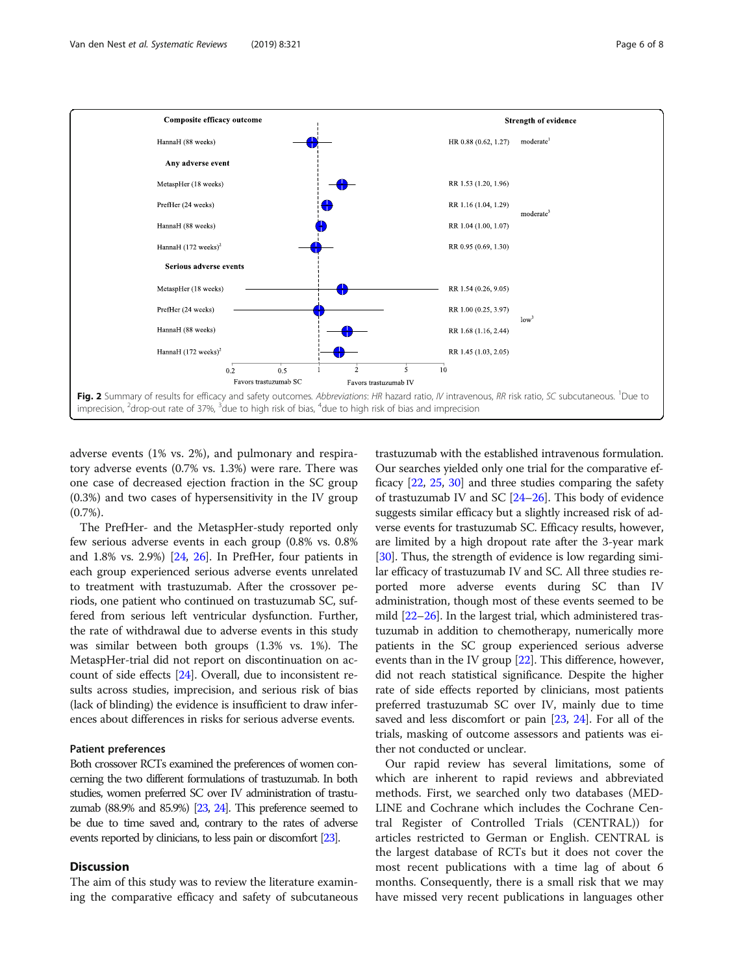<span id="page-5-0"></span>

adverse events (1% vs. 2%), and pulmonary and respiratory adverse events (0.7% vs. 1.3%) were rare. There was one case of decreased ejection fraction in the SC group (0.3%) and two cases of hypersensitivity in the IV group (0.7%).

The PrefHer- and the MetaspHer-study reported only few serious adverse events in each group (0.8% vs. 0.8% and 1.8% vs. 2.9%) [\[24,](#page-7-0) [26\]](#page-7-0). In PrefHer, four patients in each group experienced serious adverse events unrelated to treatment with trastuzumab. After the crossover periods, one patient who continued on trastuzumab SC, suffered from serious left ventricular dysfunction. Further, the rate of withdrawal due to adverse events in this study was similar between both groups (1.3% vs. 1%). The MetaspHer-trial did not report on discontinuation on account of side effects [\[24\]](#page-7-0). Overall, due to inconsistent results across studies, imprecision, and serious risk of bias (lack of blinding) the evidence is insufficient to draw inferences about differences in risks for serious adverse events.

## Patient preferences

Both crossover RCTs examined the preferences of women concerning the two different formulations of trastuzumab. In both studies, women preferred SC over IV administration of trastuzumab  $(88.9\%$  and  $85.9\%)$   $[23, 24]$  $[23, 24]$  $[23, 24]$ . This preference seemed to be due to time saved and, contrary to the rates of adverse events reported by clinicians, to less pain or discomfort [\[23\]](#page-7-0).

## **Discussion**

The aim of this study was to review the literature examining the comparative efficacy and safety of subcutaneous

trastuzumab with the established intravenous formulation. Our searches yielded only one trial for the comparative efficacy [[22](#page-7-0), [25,](#page-7-0) [30\]](#page-7-0) and three studies comparing the safety of trastuzumab IV and SC [[24](#page-7-0)–[26\]](#page-7-0). This body of evidence suggests similar efficacy but a slightly increased risk of adverse events for trastuzumab SC. Efficacy results, however, are limited by a high dropout rate after the 3-year mark [[30](#page-7-0)]. Thus, the strength of evidence is low regarding similar efficacy of trastuzumab IV and SC. All three studies reported more adverse events during SC than IV administration, though most of these events seemed to be mild [[22](#page-7-0)–[26\]](#page-7-0). In the largest trial, which administered trastuzumab in addition to chemotherapy, numerically more patients in the SC group experienced serious adverse events than in the IV group [[22](#page-7-0)]. This difference, however, did not reach statistical significance. Despite the higher rate of side effects reported by clinicians, most patients preferred trastuzumab SC over IV, mainly due to time saved and less discomfort or pain [\[23,](#page-7-0) [24](#page-7-0)]. For all of the trials, masking of outcome assessors and patients was either not conducted or unclear.

Our rapid review has several limitations, some of which are inherent to rapid reviews and abbreviated methods. First, we searched only two databases (MED-LINE and Cochrane which includes the Cochrane Central Register of Controlled Trials (CENTRAL)) for articles restricted to German or English. CENTRAL is the largest database of RCTs but it does not cover the most recent publications with a time lag of about 6 months. Consequently, there is a small risk that we may have missed very recent publications in languages other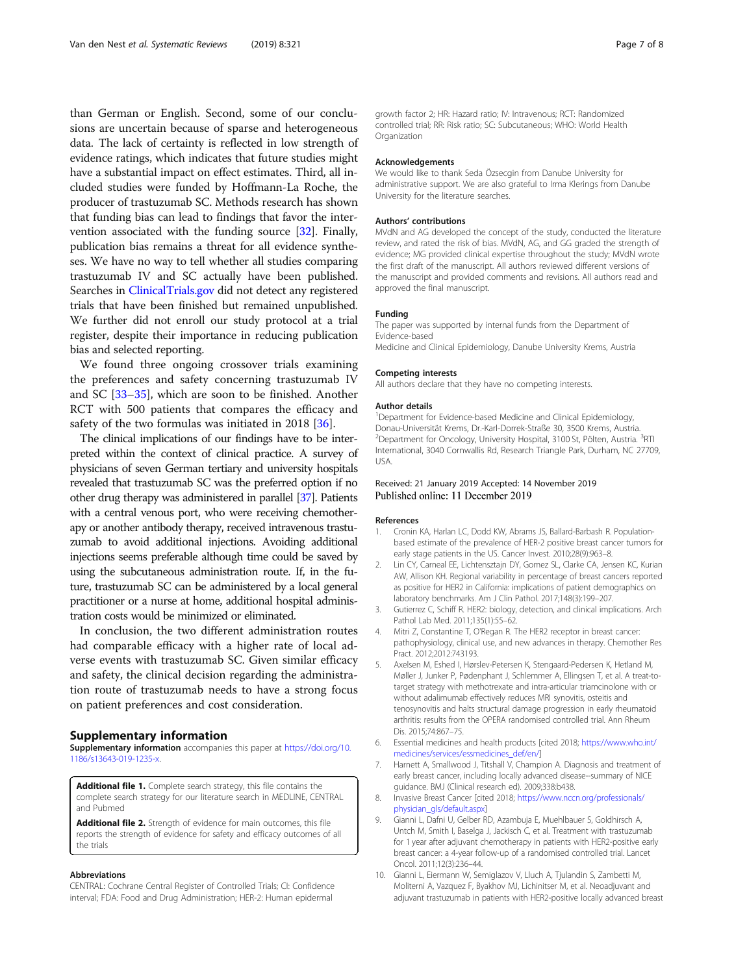<span id="page-6-0"></span>than German or English. Second, some of our conclusions are uncertain because of sparse and heterogeneous data. The lack of certainty is reflected in low strength of evidence ratings, which indicates that future studies might have a substantial impact on effect estimates. Third, all included studies were funded by Hoffmann-La Roche, the producer of trastuzumab SC. Methods research has shown that funding bias can lead to findings that favor the intervention associated with the funding source [\[32\]](#page-7-0). Finally, publication bias remains a threat for all evidence syntheses. We have no way to tell whether all studies comparing trastuzumab IV and SC actually have been published. Searches in [ClinicalTrials.gov](http://clinicaltrials.gov) did not detect any registered trials that have been finished but remained unpublished. We further did not enroll our study protocol at a trial register, despite their importance in reducing publication bias and selected reporting.

We found three ongoing crossover trials examining the preferences and safety concerning trastuzumab IV and SC [\[33](#page-7-0)–[35\]](#page-7-0), which are soon to be finished. Another RCT with 500 patients that compares the efficacy and safety of the two formulas was initiated in 2018 [\[36](#page-7-0)].

The clinical implications of our findings have to be interpreted within the context of clinical practice. A survey of physicians of seven German tertiary and university hospitals revealed that trastuzumab SC was the preferred option if no other drug therapy was administered in parallel [\[37\]](#page-7-0). Patients with a central venous port, who were receiving chemotherapy or another antibody therapy, received intravenous trastuzumab to avoid additional injections. Avoiding additional injections seems preferable although time could be saved by using the subcutaneous administration route. If, in the future, trastuzumab SC can be administered by a local general practitioner or a nurse at home, additional hospital administration costs would be minimized or eliminated.

In conclusion, the two different administration routes had comparable efficacy with a higher rate of local adverse events with trastuzumab SC. Given similar efficacy and safety, the clinical decision regarding the administration route of trastuzumab needs to have a strong focus on patient preferences and cost consideration.

## Supplementary information

Supplementary information accompanies this paper at [https://doi.org/10.](https://doi.org/10.1186/s13643-019-1235-x) [1186/s13643-019-1235-x](https://doi.org/10.1186/s13643-019-1235-x).

Additional file 1. Complete search strategy, this file contains the complete search strategy for our literature search in MEDLINE, CENTRAL and Pubmed

Additional file 2. Strength of evidence for main outcomes, this file reports the strength of evidence for safety and efficacy outcomes of all the trials

#### Abbreviations

CENTRAL: Cochrane Central Register of Controlled Trials; CI: Confidence interval; FDA: Food and Drug Administration; HER-2: Human epidermal

growth factor 2; HR: Hazard ratio; IV: Intravenous; RCT: Randomized controlled trial; RR: Risk ratio; SC: Subcutaneous; WHO: World Health **Organization** 

#### Acknowledgements

We would like to thank Seda Özsecgin from Danube University for administrative support. We are also grateful to Irma Klerings from Danube University for the literature searches.

#### Authors' contributions

MVdN and AG developed the concept of the study, conducted the literature review, and rated the risk of bias. MVdN, AG, and GG graded the strength of evidence; MG provided clinical expertise throughout the study; MVdN wrote the first draft of the manuscript. All authors reviewed different versions of the manuscript and provided comments and revisions. All authors read and approved the final manuscript.

#### Funding

The paper was supported by internal funds from the Department of Evidence-based

Medicine and Clinical Epidemiology, Danube University Krems, Austria

#### Competing interests

All authors declare that they have no competing interests.

#### Author details

<sup>1</sup>Department for Evidence-based Medicine and Clinical Epidemiology, Donau-Universität Krems, Dr.-Karl-Dorrek-Straße 30, 3500 Krems, Austria. <sup>2</sup>Department for Oncology, University Hospital, 3100 St, Pölten, Austria. <sup>3</sup>RTI International, 3040 Cornwallis Rd, Research Triangle Park, Durham, NC 27709, USA.

## Received: 21 January 2019 Accepted: 14 November 2019 Published online: 11 December 2019

#### References

- 1. Cronin KA, Harlan LC, Dodd KW, Abrams JS, Ballard-Barbash R. Populationbased estimate of the prevalence of HER-2 positive breast cancer tumors for early stage patients in the US. Cancer Invest. 2010;28(9):963–8.
- 2. Lin CY, Carneal EE, Lichtensztajn DY, Gomez SL, Clarke CA, Jensen KC, Kurian AW, Allison KH. Regional variability in percentage of breast cancers reported as positive for HER2 in California: implications of patient demographics on laboratory benchmarks. Am J Clin Pathol. 2017;148(3):199–207.
- 3. Gutierrez C, Schiff R. HER2: biology, detection, and clinical implications. Arch Pathol Lab Med. 2011;135(1):55–62.
- 4. Mitri Z, Constantine T, O'Regan R. The HER2 receptor in breast cancer: pathophysiology, clinical use, and new advances in therapy. Chemother Res Pract. 2012;2012:743193.
- 5. Axelsen M, Eshed I, Hørslev-Petersen K, Stengaard-Pedersen K, Hetland M, Møller J, Junker P, Pødenphant J, Schlemmer A, Ellingsen T, et al. A treat-totarget strategy with methotrexate and intra-articular triamcinolone with or without adalimumab effectively reduces MRI synovitis, osteitis and tenosynovitis and halts structural damage progression in early rheumatoid arthritis: results from the OPERA randomised controlled trial. Ann Rheum Dis. 2015;74:867–75.
- 6. Essential medicines and health products [cited 2018; [https://www.who.int/](https://www.who.int/medicines/services/essmedicines_def/en/) [medicines/services/essmedicines\\_def/en/\]](https://www.who.int/medicines/services/essmedicines_def/en/)
- 7. Harnett A, Smallwood J, Titshall V, Champion A. Diagnosis and treatment of early breast cancer, including locally advanced disease--summary of NICE guidance. BMJ (Clinical research ed). 2009;338:b438.
- 8. Invasive Breast Cancer [cited 2018; [https://www.nccn.org/professionals/](https://www.nccn.org/professionals/physician_gls/default.aspx) [physician\\_gls/default.aspx\]](https://www.nccn.org/professionals/physician_gls/default.aspx)
- 9. Gianni L, Dafni U, Gelber RD, Azambuja E, Muehlbauer S, Goldhirsch A, Untch M, Smith I, Baselga J, Jackisch C, et al. Treatment with trastuzumab for 1 year after adjuvant chemotherapy in patients with HER2-positive early breast cancer: a 4-year follow-up of a randomised controlled trial. Lancet Oncol. 2011;12(3):236–44.
- 10. Gianni L, Eiermann W, Semiglazov V, Lluch A, Tjulandin S, Zambetti M, Moliterni A, Vazquez F, Byakhov MJ, Lichinitser M, et al. Neoadjuvant and adjuvant trastuzumab in patients with HER2-positive locally advanced breast